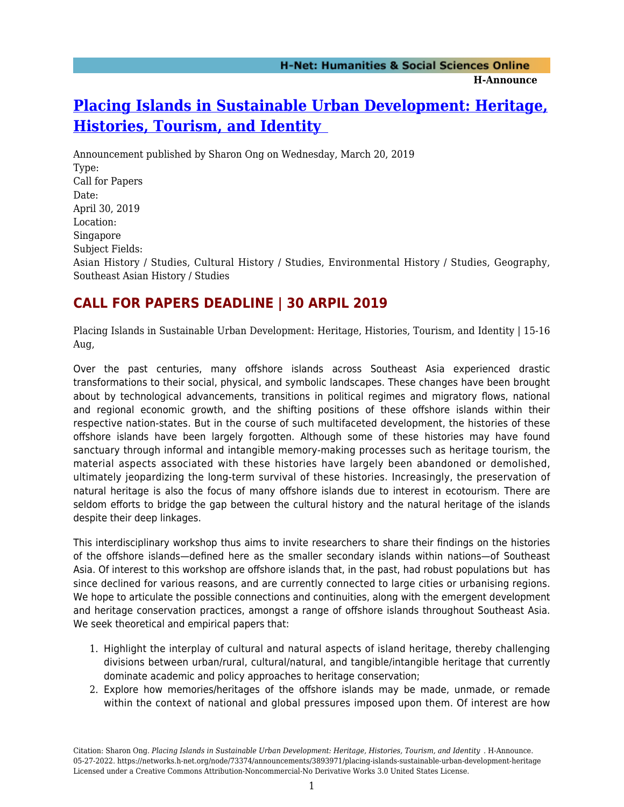# **[Placing Islands in Sustainable Urban Development: Heritage,](https://networks.h-net.org/node/73374/announcements/3893971/placing-islands-sustainable-urban-development-heritage) [Histories, Tourism, and Identity](https://networks.h-net.org/node/73374/announcements/3893971/placing-islands-sustainable-urban-development-heritage)**

Announcement published by Sharon Ong on Wednesday, March 20, 2019 Type: Call for Papers Date: April 30, 2019 Location: Singapore Subject Fields: Asian History / Studies, Cultural History / Studies, Environmental History / Studies, Geography, Southeast Asian History / Studies

## **CALL FOR PAPERS DEADLINE | 30 ARPIL 2019**

Placing Islands in Sustainable Urban Development: Heritage, Histories, Tourism, and Identity | 15-16 Aug,

Over the past centuries, many offshore islands across Southeast Asia experienced drastic transformations to their social, physical, and symbolic landscapes. These changes have been brought about by technological advancements, transitions in political regimes and migratory flows, national and regional economic growth, and the shifting positions of these offshore islands within their respective nation-states. But in the course of such multifaceted development, the histories of these offshore islands have been largely forgotten. Although some of these histories may have found sanctuary through informal and intangible memory-making processes such as heritage tourism, the material aspects associated with these histories have largely been abandoned or demolished, ultimately jeopardizing the long-term survival of these histories. Increasingly, the preservation of natural heritage is also the focus of many offshore islands due to interest in ecotourism. There are seldom efforts to bridge the gap between the cultural history and the natural heritage of the islands despite their deep linkages.

This interdisciplinary workshop thus aims to invite researchers to share their findings on the histories of the offshore islands—defined here as the smaller secondary islands within nations—of Southeast Asia. Of interest to this workshop are offshore islands that, in the past, had robust populations but has since declined for various reasons, and are currently connected to large cities or urbanising regions. We hope to articulate the possible connections and continuities, along with the emergent development and heritage conservation practices, amongst a range of offshore islands throughout Southeast Asia. We seek theoretical and empirical papers that:

- 1. Highlight the interplay of cultural and natural aspects of island heritage, thereby challenging divisions between urban/rural, cultural/natural, and tangible/intangible heritage that currently dominate academic and policy approaches to heritage conservation;
- 2. Explore how memories/heritages of the offshore islands may be made, unmade, or remade within the context of national and global pressures imposed upon them. Of interest are how